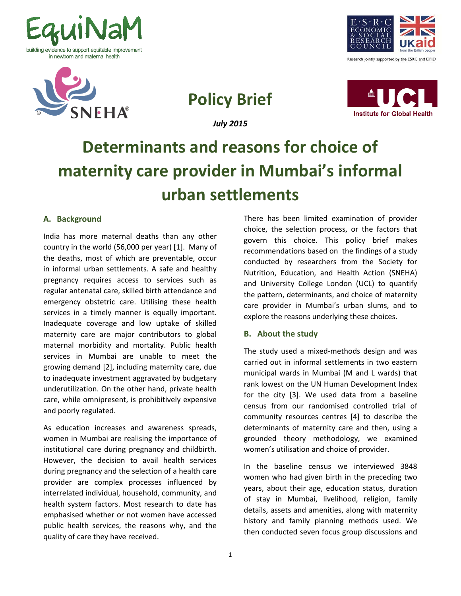



**Policy Brief**

*July 2015*





# **Determinants and reasons for choice of maternity care provider in Mumbai's informal urban settlements**

# **A. Background**

India has more maternal deaths than any other country in the world (56,000 per year) [1]. Many of the deaths, most of which are preventable, occur in informal urban settlements. A safe and healthy pregnancy requires access to services such as regular antenatal care, skilled birth attendance and emergency obstetric care. Utilising these health services in a timely manner is equally important. Inadequate coverage and low uptake of skilled maternity care are major contributors to global maternal morbidity and mortality. Public health services in Mumbai are unable to meet the growing demand [2], including maternity care, due to inadequate investment aggravated by budgetary underutilization. On the other hand, private health care, while omnipresent, is prohibitively expensive and poorly regulated.

As education increases and awareness spreads, women in Mumbai are realising the importance of institutional care during pregnancy and childbirth. However, the decision to avail health services during pregnancy and the selection of a health care provider are complex processes influenced by interrelated individual, household, community, and health system factors. Most research to date has emphasised whether or not women have accessed public health services, the reasons why, and the quality of care they have received.

There has been limited examination of provider choice, the selection process, or the factors that govern this choice. This policy brief makes recommendations based on the findings of a study conducted by researchers from the Society for Nutrition, Education, and Health Action (SNEHA) and University College London (UCL) to quantify the pattern, determinants, and choice of maternity care provider in Mumbai's urban slums, and to explore the reasons underlying these choices.

# **B. About the study**

The study used a mixed-methods design and was carried out in informal settlements in two eastern municipal wards in Mumbai (M and L wards) that rank lowest on the UN Human Development Index for the city [3]. We used data from a baseline census from our randomised controlled trial of community resources centres [4] to describe the determinants of maternity care and then, using a grounded theory methodology, we examined women's utilisation and choice of provider.

In the baseline census we interviewed 3848 women who had given birth in the preceding two years, about their age, education status, duration of stay in Mumbai, livelihood, religion, family details, assets and amenities, along with maternity history and family planning methods used. We then conducted seven focus group discussions and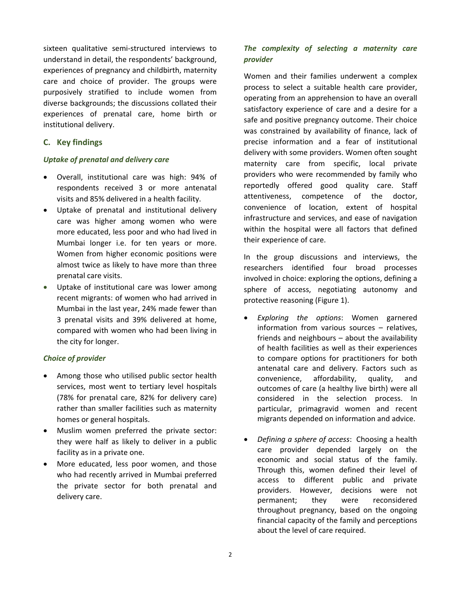sixteen qualitative semi-structured interviews to understand in detail, the respondents' background, experiences of pregnancy and childbirth, maternity care and choice of provider. The groups were purposively stratified to include women from diverse backgrounds; the discussions collated their experiences of prenatal care, home birth or institutional delivery.

## **C. Key findings**

### *Uptake of prenatal and delivery care*

- Overall, institutional care was high: 94% of respondents received 3 or more antenatal visits and 85% delivered in a health facility.
- Uptake of prenatal and institutional delivery care was higher among women who were more educated, less poor and who had lived in Mumbai longer i.e. for ten years or more. Women from higher economic positions were almost twice as likely to have more than three prenatal care visits.
- Uptake of institutional care was lower among recent migrants: of women who had arrived in Mumbai in the last year, 24% made fewer than 3 prenatal visits and 39% delivered at home, compared with women who had been living in the city for longer.

### *Choice of provider*

- Among those who utilised public sector health services, most went to tertiary level hospitals (78% for prenatal care, 82% for delivery care) rather than smaller facilities such as maternity homes or general hospitals.
- Muslim women preferred the private sector: they were half as likely to deliver in a public facility as in a private one.
- More educated, less poor women, and those who had recently arrived in Mumbai preferred the private sector for both prenatal and delivery care.

# *The complexity of selecting a maternity care provider*

Women and their families underwent a complex process to select a suitable health care provider, operating from an apprehension to have an overall satisfactory experience of care and a desire for a safe and positive pregnancy outcome. Their choice was constrained by availability of finance, lack of precise information and a fear of institutional delivery with some providers. Women often sought maternity care from specific, local private providers who were recommended by family who reportedly offered good quality care. Staff attentiveness, competence of the doctor, convenience of location, extent of hospital infrastructure and services, and ease of navigation within the hospital were all factors that defined their experience of care.

In the group discussions and interviews, the researchers identified four broad processes involved in choice: exploring the options, defining a sphere of access, negotiating autonomy and protective reasoning (Figure 1).

- *Exploring the options*: Women garnered information from various sources – relatives, friends and neighbours – about the availability of health facilities as well as their experiences to compare options for practitioners for both antenatal care and delivery. Factors such as convenience, affordability, quality, and outcomes of care (a healthy live birth) were all considered in the selection process. In particular, primagravid women and recent migrants depended on information and advice.
- *Defining a sphere of access*: Choosing a health care provider depended largely on the economic and social status of the family. Through this, women defined their level of access to different public and private providers. However, decisions were not permanent; they were reconsidered throughout pregnancy, based on the ongoing financial capacity of the family and perceptions about the level of care required.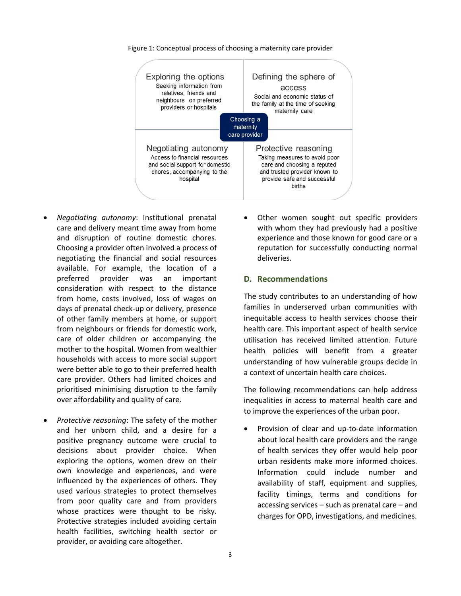

Figure 1: Conceptual process of choosing a maternity care provider

- *Negotiating autonomy*: Institutional prenatal care and delivery meant time away from home and disruption of routine domestic chores. Choosing a provider often involved a process of negotiating the financial and social resources available. For example, the location of a preferred provider was an important consideration with respect to the distance from home, costs involved, loss of wages on days of prenatal check-up or delivery, presence of other family members at home, or support from neighbours or friends for domestic work, care of older children or accompanying the mother to the hospital. Women from wealthier households with access to more social support were better able to go to their preferred health care provider. Others had limited choices and prioritised minimising disruption to the family over affordability and quality of care.
- *Protective reasoning*: The safety of the mother and her unborn child, and a desire for a positive pregnancy outcome were crucial to decisions about provider choice. When exploring the options, women drew on their own knowledge and experiences, and were influenced by the experiences of others. They used various strategies to protect themselves from poor quality care and from providers whose practices were thought to be risky. Protective strategies included avoiding certain health facilities, switching health sector or provider, or avoiding care altogether.

• Other women sought out specific providers with whom they had previously had a positive experience and those known for good care or a reputation for successfully conducting normal deliveries.

#### **D. Recommendations**

The study contributes to an understanding of how families in underserved urban communities with inequitable access to health services choose their health care. This important aspect of health service utilisation has received limited attention. Future health policies will benefit from a greater understanding of how vulnerable groups decide in a context of uncertain health care choices.

The following recommendations can help address inequalities in access to maternal health care and to improve the experiences of the urban poor.

• Provision of clear and up-to-date information about local health care providers and the range of health services they offer would help poor urban residents make more informed choices. Information could include number and availability of staff, equipment and supplies, facility timings, terms and conditions for accessing services – such as prenatal care – and charges for OPD, investigations, and medicines.